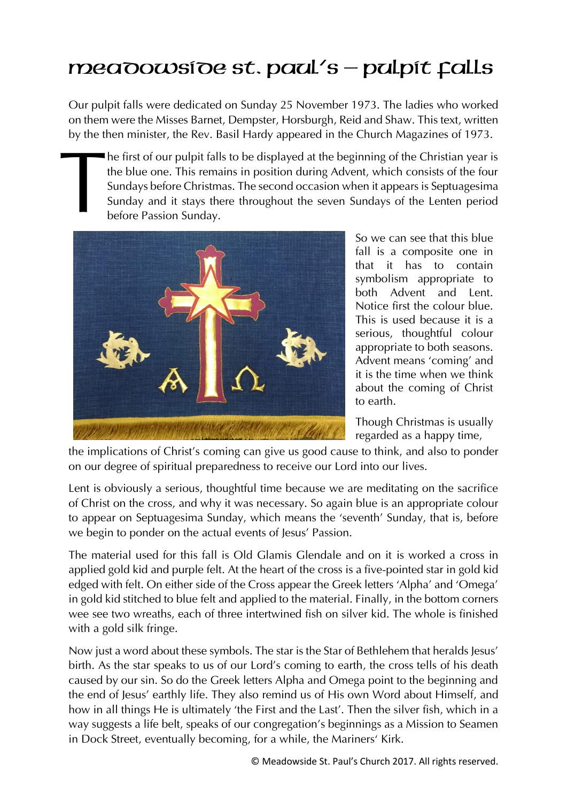## $mea$ o $\overline{o}$ o $\overline{o}$ e st. paul's – pulpit  $\overline{r}$ alls

Our pulpit falls were dedicated on Sunday 25 November 1973. The ladies who worked on them were the Misses Barnet, Dempster, Horsburgh, Reid and Shaw. This text, written by the then minister, the Rev. Basil Hardy appeared in the Church Magazines of 1973.

he first of our pulpit falls to be displayed at the beginning of the Christian year is the blue one. This remains in position during Advent, which consists of the four Sundays before Christmas. The second occasion when it appears is Septuagesima Sunday and it stays there throughout the seven Sundays of the Lenten period before Passion Sunday.



So we can see that this blue fall is a composite one in that it has to contain symbolism appropriate to both Advent and Lent. Notice first the colour blue. This is used because it is a serious, thoughtful colour appropriate to both seasons. Advent means 'coming' and it is the time when we think about the coming of Christ to earth.

Though Christmas is usually regarded as a happy time,

the implications of Christ's coming can give us good cause to think, and also to ponder on our degree of spiritual preparedness to receive our Lord into our lives.

Lent is obviously a serious, thoughtful time because we are meditating on the sacrifice of Christ on the cross, and why it was necessary. So again blue is an appropriate colour to appear on Septuagesima Sunday, which means the 'seventh' Sunday, that is, before we begin to ponder on the actual events of Jesus' Passion.

The material used for this fall is Old Glamis Glendale and on it is worked a cross in applied gold kid and purple felt. At the heart of the cross is a five-pointed star in gold kid edged with felt. On either side of the Cross appear the Greek letters 'Alpha' and 'Omega' in gold kid stitched to blue felt and applied to the material. Finally, in the bottom corners wee see two wreaths, each of three intertwined fish on silver kid. The whole is finished with a gold silk fringe.

Now just a word about these symbols. The star is the Star of Bethlehem that heralds Jesus' birth. As the star speaks to us of our Lord's coming to earth, the cross tells of his death caused by our sin. So do the Greek letters Alpha and Omega point to the beginning and the end of Jesus' earthly life. They also remind us of His own Word about Himself, and how in all things He is ultimately 'the First and the Last'. Then the silver fish, which in a way suggests a life belt, speaks of our congregation's beginnings as a Mission to Seamen in Dock Street, eventually becoming, for a while, the Mariners' Kirk.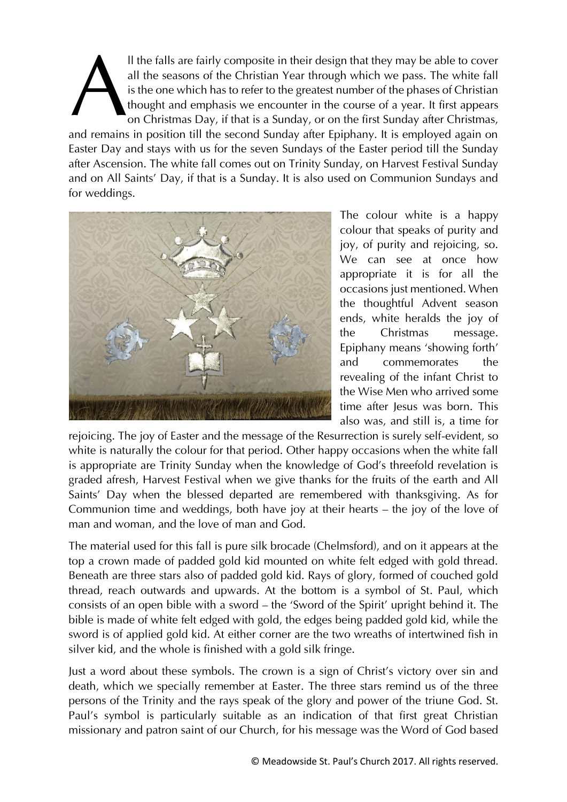ll the falls are fairly composite in their design that they may be able to cover all the seasons of the Christian Year through which we pass. The white fall is the one which has to refer to the greatest number of the phases of Christian thought and emphasis we encounter in the course of a year. It first appears on Christmas Day, if that is a Sunday, or on the first Sunday after Christmas, and remains in position till the second Sunday after Epiphany. It is employed again on Easter Day and stays with us for the seven Sundays of the Easter period till the Sunday after Ascension. The white fall comes out on Trinity Sunday, on Harvest Festival Sunday and on All Saints' Day, if that is a Sunday. It is also used on Communion Sundays and for weddings. A



The colour white is a happy colour that speaks of purity and joy, of purity and rejoicing, so. We can see at once how appropriate it is for all the occasions just mentioned. When the thoughtful Advent season ends, white heralds the joy of the Christmas message. Epiphany means 'showing forth' and commemorates the revealing of the infant Christ to the Wise Men who arrived some time after Jesus was born. This also was, and still is, a time for

rejoicing. The joy of Easter and the message of the Resurrection is surely self-evident, so white is naturally the colour for that period. Other happy occasions when the white fall is appropriate are Trinity Sunday when the knowledge of God's threefold revelation is graded afresh, Harvest Festival when we give thanks for the fruits of the earth and All Saints' Day when the blessed departed are remembered with thanksgiving. As for Communion time and weddings, both have joy at their hearts – the joy of the love of man and woman, and the love of man and God.

The material used for this fall is pure silk brocade (Chelmsford), and on it appears at the top a crown made of padded gold kid mounted on white felt edged with gold thread. Beneath are three stars also of padded gold kid. Rays of glory, formed of couched gold thread, reach outwards and upwards. At the bottom is a symbol of St. Paul, which consists of an open bible with a sword – the 'Sword of the Spirit' upright behind it. The bible is made of white felt edged with gold, the edges being padded gold kid, while the sword is of applied gold kid. At either corner are the two wreaths of intertwined fish in silver kid, and the whole is finished with a gold silk fringe.

Just a word about these symbols. The crown is a sign of Christ's victory over sin and death, which we specially remember at Easter. The three stars remind us of the three persons of the Trinity and the rays speak of the glory and power of the triune God. St. Paul's symbol is particularly suitable as an indication of that first great Christian missionary and patron saint of our Church, for his message was the Word of God based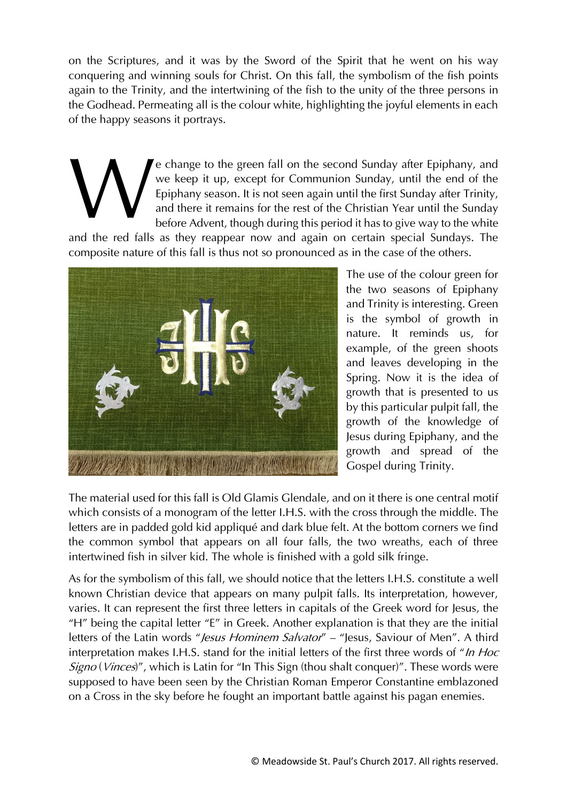on the Scriptures, and it was by the Sword of the Spirit that he went on his way conquering and winning souls for Christ. On this fall, the symbolism of the fish points again to the Trinity, and the intertwining of the fish to the unity of the three persons in the Godhead. Permeating all is the colour white, highlighting the joyful elements in each of the happy seasons it portrays.

e change to the green fall on the second Sunday after Epiphany, and we keep it up, except for Communion Sunday, until the end of the Epiphany season. It is not seen again until the first Sunday after Trinity, and there it remains for the rest of the Christian Year until the Sunday before Advent, though during this period it has to give way to the white W

and the red falls as they reappear now and again on certain special Sundays. The composite nature of this fall is thus not so pronounced as in the case of the others.



The use of the colour green for the two seasons of Epiphany and Trinity is interesting. Green is the symbol of growth in nature. It reminds us, for example, of the green shoots and leaves developing in the Spring. Now it is the idea of growth that is presented to us by this particular pulpit fall, the growth of the knowledge of Jesus during Epiphany, and the growth and spread of the Gospel during Trinity.

The material used for this fall is Old Glamis Glendale, and on it there is one central motif which consists of a monogram of the letter I.H.S. with the cross through the middle. The letters are in padded gold kid appliqué and dark blue felt. At the bottom corners we find the common symbol that appears on all four falls, the two wreaths, each of three intertwined fish in silver kid. The whole is finished with a gold silk fringe.

As for the symbolism of this fall, we should notice that the letters I.H.S. constitute a well known Christian device that appears on many pulpit falls. Its interpretation, however, varies. It can represent the first three letters in capitals of the Greek word for Jesus, the "H" being the capital letter "E" in Greek. Another explanation is that they are the initial letters of the Latin words "*Jesus Hominem Salvator*" – "Jesus, Saviour of Men". A third interpretation makes I.H.S. stand for the initial letters of the first three words of "In Hoc Signo (Vinces)", which is Latin for "In This Sign (thou shalt conquer)". These words were supposed to have been seen by the Christian Roman Emperor Constantine emblazoned on a Cross in the sky before he fought an important battle against his pagan enemies.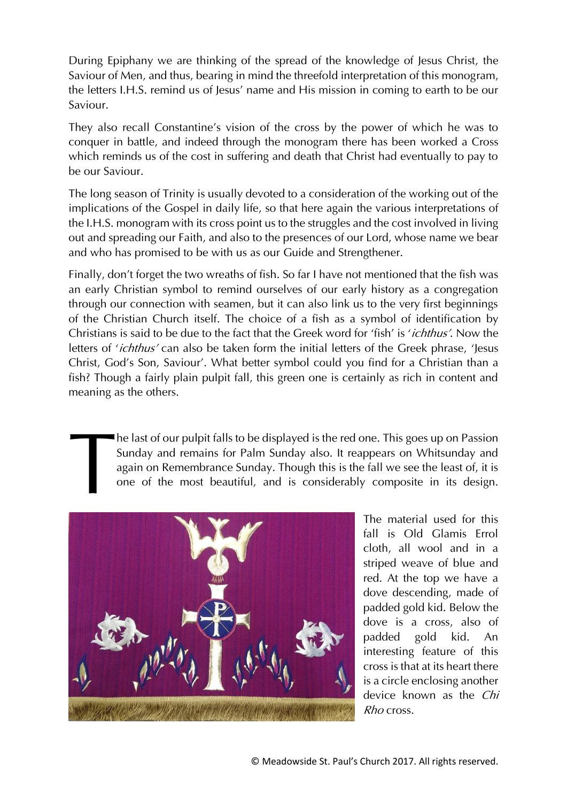During Epiphany we are thinking of the spread of the knowledge of Jesus Christ, the Saviour of Men, and thus, bearing in mind the threefold interpretation of this monogram, the letters I.H.S. remind us of Jesus' name and His mission in coming to earth to be our Saviour.

They also recall Constantine's vision of the cross by the power of which he was to conquer in battle, and indeed through the monogram there has been worked a Cross which reminds us of the cost in suffering and death that Christ had eventually to pay to be our Saviour.

The long season of Trinity is usually devoted to a consideration of the working out of the implications of the Gospel in daily life, so that here again the various interpretations of the I.H.S. monogram with its cross point us to the struggles and the cost involved in living out and spreading our Faith, and also to the presences of our Lord, whose name we bear and who has promised to be with us as our Guide and Strengthener.

Finally, don't forget the two wreaths of fish. So far I have not mentioned that the fish was an early Christian symbol to remind ourselves of our early history as a congregation through our connection with seamen, but it can also link us to the very first beginnings of the Christian Church itself. The choice of a fish as a symbol of identification by Christians is said to be due to the fact that the Greek word for 'fish' is 'ichthus'. Now the letters of 'ichthus' can also be taken form the initial letters of the Greek phrase, 'Jesus Christ, God's Son, Saviour'. What better symbol could you find for a Christian than a fish? Though a fairly plain pulpit fall, this green one is certainly as rich in content and meaning as the others.

> he last of our pulpit falls to be displayed is the red one. This goes up on Passion Sunday and remains for Palm Sunday also. It reappears on Whitsunday and again on Remembrance Sunday. Though this is the fall we see the least of, it is one of the most beautiful, and is considerably composite in its design.



The material used for this fall is Old Glamis Errol cloth, all wool and in a striped weave of blue and red. At the top we have a dove descending, made of padded gold kid. Below the dove is a cross, also of padded gold kid. An interesting feature of this cross is that at its heart there is a circle enclosing another device known as the *Chi* Rho cross.